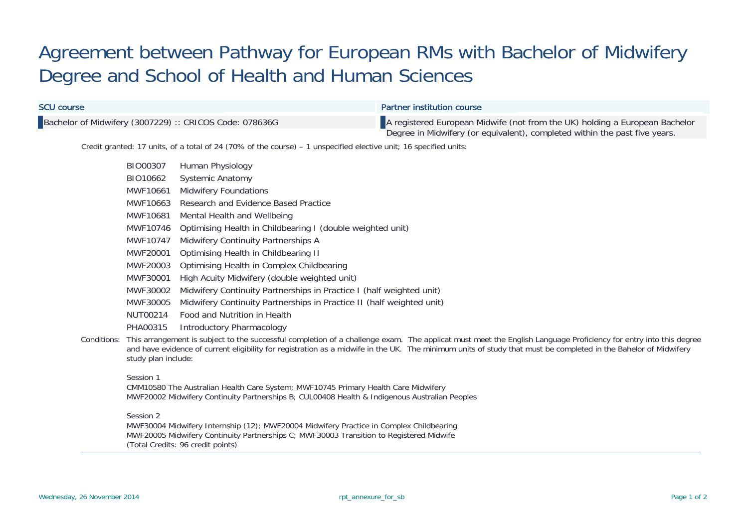## Agreement between Pathway for European RMs with Bachelor of Midwifery Degree and School of Health and Human Sciences

| <b>SCU course</b>                                |                                                                                                                                                                                                                                                                                                                                                                        | <b>Partner institution course</b>                                                                                                                                                                                    |  |  |  |  |  |
|--------------------------------------------------|------------------------------------------------------------------------------------------------------------------------------------------------------------------------------------------------------------------------------------------------------------------------------------------------------------------------------------------------------------------------|----------------------------------------------------------------------------------------------------------------------------------------------------------------------------------------------------------------------|--|--|--|--|--|
|                                                  |                                                                                                                                                                                                                                                                                                                                                                        | Bachelor of Midwifery (3007229) :: CRICOS Code: 078636G<br>A registered European Midwife (not from the UK) holding a European Bachelor<br>Degree in Midwifery (or equivalent), completed within the past five years. |  |  |  |  |  |
|                                                  |                                                                                                                                                                                                                                                                                                                                                                        | Credit granted: 17 units, of a total of 24 (70% of the course) – 1 unspecified elective unit; 16 specified units:                                                                                                    |  |  |  |  |  |
|                                                  | BIO00307                                                                                                                                                                                                                                                                                                                                                               | Human Physiology                                                                                                                                                                                                     |  |  |  |  |  |
|                                                  | BIO10662                                                                                                                                                                                                                                                                                                                                                               | <b>Systemic Anatomy</b>                                                                                                                                                                                              |  |  |  |  |  |
|                                                  | <b>Midwifery Foundations</b><br>MWF10661                                                                                                                                                                                                                                                                                                                               |                                                                                                                                                                                                                      |  |  |  |  |  |
| MWF10663<br>Research and Evidence Based Practice |                                                                                                                                                                                                                                                                                                                                                                        |                                                                                                                                                                                                                      |  |  |  |  |  |
| MWF10681<br>Mental Health and Wellbeing          |                                                                                                                                                                                                                                                                                                                                                                        |                                                                                                                                                                                                                      |  |  |  |  |  |
|                                                  | MWF10746                                                                                                                                                                                                                                                                                                                                                               | Optimising Health in Childbearing I (double weighted unit)                                                                                                                                                           |  |  |  |  |  |
| MWF10747<br>Midwifery Continuity Partnerships A  |                                                                                                                                                                                                                                                                                                                                                                        |                                                                                                                                                                                                                      |  |  |  |  |  |
|                                                  | MWF20001                                                                                                                                                                                                                                                                                                                                                               | Optimising Health in Childbearing II                                                                                                                                                                                 |  |  |  |  |  |
|                                                  | MWF20003<br>Optimising Health in Complex Childbearing                                                                                                                                                                                                                                                                                                                  |                                                                                                                                                                                                                      |  |  |  |  |  |
|                                                  | MWF30001<br>High Acuity Midwifery (double weighted unit)                                                                                                                                                                                                                                                                                                               |                                                                                                                                                                                                                      |  |  |  |  |  |
|                                                  | MWF30002<br>Midwifery Continuity Partnerships in Practice I (half weighted unit)                                                                                                                                                                                                                                                                                       |                                                                                                                                                                                                                      |  |  |  |  |  |
|                                                  | MWF30005                                                                                                                                                                                                                                                                                                                                                               | Midwifery Continuity Partnerships in Practice II (half weighted unit)                                                                                                                                                |  |  |  |  |  |
|                                                  | NUT00214                                                                                                                                                                                                                                                                                                                                                               | Food and Nutrition in Health                                                                                                                                                                                         |  |  |  |  |  |
|                                                  | PHA00315                                                                                                                                                                                                                                                                                                                                                               | <b>Introductory Pharmacology</b>                                                                                                                                                                                     |  |  |  |  |  |
|                                                  | Conditions: This arrangement is subject to the successful completion of a challenge exam. The applicat must meet the English Language Proficiency for entry into this degree<br>and have evidence of current eligibility for registration as a midwife in the UK. The minimum units of study that must be completed in the Bahelor of Midwifery<br>study plan include: |                                                                                                                                                                                                                      |  |  |  |  |  |
|                                                  | Session 1<br>CMM10580 The Australian Health Care System; MWF10745 Primary Health Care Midwifery<br>MWF20002 Midwifery Continuity Partnerships B; CUL00408 Health & Indigenous Australian Peoples                                                                                                                                                                       |                                                                                                                                                                                                                      |  |  |  |  |  |
|                                                  | Session 2<br>MWF30004 Midwifery Internship (12); MWF20004 Midwifery Practice in Complex Childbearing                                                                                                                                                                                                                                                                   |                                                                                                                                                                                                                      |  |  |  |  |  |

MWF20005 Midwifery Continuity Partnerships C; MWF30003 Transition to Registered Midwife (Total Credits: 96 credit points)